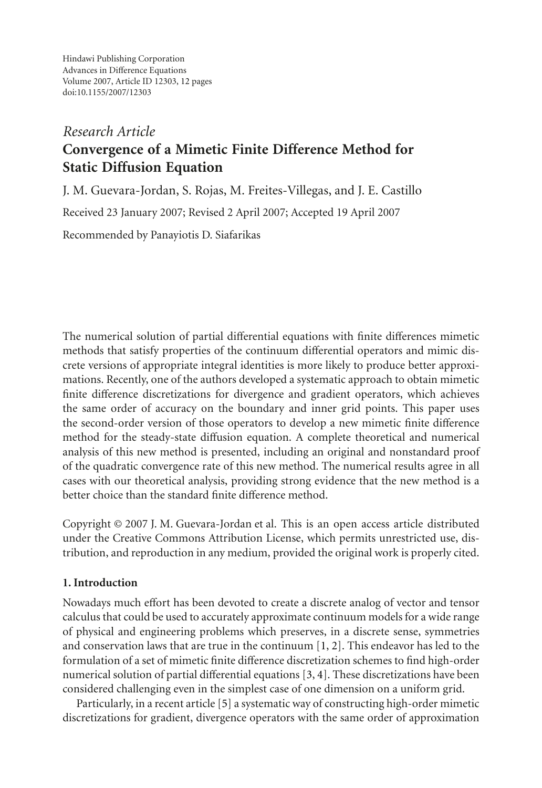Hindawi Publishing Corporation Advances in Difference Equations Volume 2007, Article ID 12303, [12](#page-10-0) pages doi:10.1155/2007/12303

# *Research Article* **Convergence of a Mimetic Finite Difference Method for Static Diffusion Equation**

J. M. Guevara-Jordan, S. Rojas, M. Freites-Villegas, and J. E. Castillo Received 23 January 2007; Revised 2 April 2007; Accepted 19 April 2007

Recommended by Panayiotis D. Siafarikas

The numerical solution of partial differential equations with finite differences mimetic methods that satisfy properties of the continuum differential operators and mimic discrete versions of appropriate integral identities is more likely to produce better approximations. Recently, one of the authors developed a systematic approach to obtain mimetic finite difference discretizations for divergence and gradient operators, which achieves the same order of accuracy on the boundary and inner grid points. This paper uses the second-order version of those operators to develop a new mimetic finite difference method for the steady-state diffusion equation. A complete theoretical and numerical analysis of this new method is presented, including an original and nonstandard proof of the quadratic convergence rate of this new method. The numerical results agree in all cases with our theoretical analysis, providing strong evidence that the new method is a better choice than the standard finite difference method.

Copyright © 2007 J. M. Guevara-Jordan et al. This is an open access article distributed under the Creative Commons Attribution License, which permits unrestricted use, distribution, and reproduction in any medium, provided the original work is properly cited.

# **1. Introduction**

Nowadays much effort has been devoted to create a discrete analog of vector and tensor calculus that could be used to accurately approximate continuum models for a wide range of physical and engineering problems which preserves, in a discrete sense, symmetries and conservation laws that are true in the continuum  $[1, 2]$  $[1, 2]$  $[1, 2]$  $[1, 2]$ . This endeavor has led to the formulation of a set of mimetic finite difference discretization schemes to find high-order numerical solution of partial differential equations [\[3,](#page-10-3) [4\]](#page-10-4). These discretizations have been considered challenging even in the simplest case of one dimension on a uniform grid.

Particularly, in a recent article [\[5](#page-10-5)] a systematic way of constructing high-order mimetic discretizations for gradient, divergence operators with the same order of approximation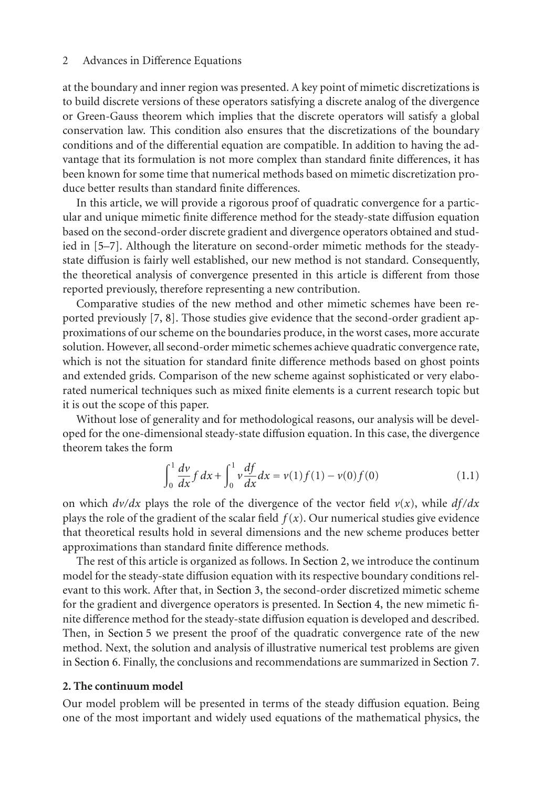at the boundary and inner region was presented. A key point of mimetic discretizations is to build discrete versions of these operators satisfying a discrete analog of the divergence or Green-Gauss theorem which implies that the discrete operators will satisfy a global conservation law. This condition also ensures that the discretizations of the boundary conditions and of the differential equation are compatible. In addition to having the advantage that its formulation is not more complex than standard finite differences, it has been known for some time that numerical methods based on mimetic discretization produce better results than standard finite differences.

In this article, we will provide a rigorous proof of quadratic convergence for a particular and unique mimetic finite difference method for the steady-state diffusion equation based on the second-order discrete gradient and divergence operators obtained and studied in [\[5](#page-10-5)[–7\]](#page-10-6). Although the literature on second-order mimetic methods for the steadystate diffusion is fairly well established, our new method is not standard. Consequently, the theoretical analysis of convergence presented in this article is different from those reported previously, therefore representing a new contribution.

Comparative studies of the new method and other mimetic schemes have been reported previously [\[7,](#page-10-6) [8\]](#page-10-7). Those studies give evidence that the second-order gradient approximations of our scheme on the boundaries produce, in the worst cases, more accurate solution. However, all second-order mimetic schemes achieve quadratic convergence rate, which is not the situation for standard finite difference methods based on ghost points and extended grids. Comparison of the new scheme against sophisticated or very elaborated numerical techniques such as mixed finite elements is a current research topic but it is out the scope of this paper.

Without lose of generality and for methodological reasons, our analysis will be developed for the one-dimensional steady-state diffusion equation. In this case, the divergence theorem takes the form

<span id="page-1-1"></span>
$$
\int_0^1 \frac{dv}{dx} f \, dx + \int_0^1 v \frac{df}{dx} dx = v(1)f(1) - v(0)f(0) \tag{1.1}
$$

on which  $\frac{dv}{dx}$  plays the role of the divergence of the vector field  $v(x)$ , while  $\frac{df}{dx}$ plays the role of the gradient of the scalar field  $f(x)$ . Our numerical studies give evidence that theoretical results hold in several dimensions and the new scheme produces better approximations than standard finite difference methods.

The rest of this article is organized as follows. In [Section 2,](#page-1-0) we introduce the continum model for the steady-state diffusion equation with its respective boundary conditions relevant to this work. After that, in [Section 3,](#page-2-0) the second-order discretized mimetic scheme for the gradient and divergence operators is presented. In [Section 4,](#page-4-0) the new mimetic finite difference method for the steady-state diffusion equation is developed and described. Then, in [Section 5](#page-5-0) we present the proof of the quadratic convergence rate of the new method. Next, the solution and analysis of illustrative numerical test problems are given in [Section 6.](#page-7-0) Finally, the conclusions and recommendations are summarized in [Section 7.](#page-9-0)

# <span id="page-1-0"></span>**2. The continuum model**

Our model problem will be presented in terms of the steady diffusion equation. Being one of the most important and widely used equations of the mathematical physics, the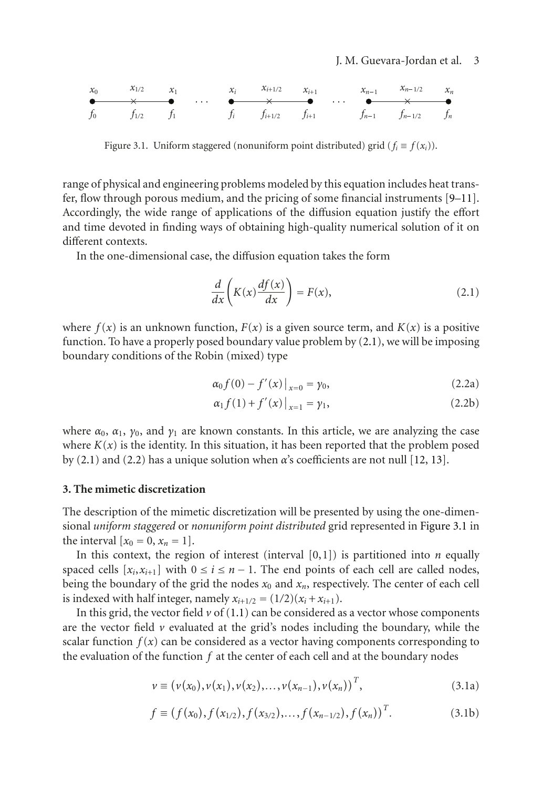

Figure 3.1. Uniform staggered (nonuniform point distributed) grid ( $f_i \equiv f(x_i)$ ).

<span id="page-2-3"></span>range of physical and engineering problems modeled by this equation includes heat transfer, flow through porous medium, and the pricing of some financial instruments [\[9](#page-10-8)[–11\]](#page-10-9). Accordingly, the wide range of applications of the diffusion equation justify the effort and time devoted in finding ways of obtaining high-quality numerical solution of it on different contexts.

In the one-dimensional case, the diffusion equation takes the form

<span id="page-2-1"></span>
$$
\frac{d}{dx}\left(K(x)\frac{df(x)}{dx}\right) = F(x),\tag{2.1}
$$

where  $f(x)$  is an unknown function,  $F(x)$  is a given source term, and  $K(x)$  is a positive function. To have a properly posed boundary value problem by [\(2.1\)](#page-2-1), we will be imposing boundary conditions of the Robin (mixed) type

<span id="page-2-6"></span><span id="page-2-2"></span>
$$
\alpha_0 f(0) - f'(x)|_{x=0} = \gamma_0, \tag{2.2a}
$$

$$
\alpha_1 f(1) + f'(x)|_{x=1} = \gamma_1,\tag{2.2b}
$$

where  $\alpha_0$ ,  $\alpha_1$ ,  $\gamma_0$ , and  $\gamma_1$  are known constants. In this article, we are analyzing the case where  $K(x)$  is the identity. In this situation, it has been reported that the problem posed by [\(2.1\)](#page-2-1) and [\(2.2\)](#page-2-2) has a unique solution when  $\alpha$ 's coefficients are not null [\[12](#page-11-0), [13\]](#page-11-1).

#### <span id="page-2-0"></span>**3. The mimetic discretization**

The description of the mimetic discretization will be presented by using the one-dimensional *uniform staggered* or *nonuniform point distributed* grid represented in [Figure 3.1](#page-2-3) in the interval  $[x_0 = 0, x_n = 1]$ .

In this context, the region of interest (interval  $[0,1]$ ) is partitioned into *n* equally spaced cells  $[x_i, x_{i+1}]$  with  $0 \le i \le n-1$ . The end points of each cell are called nodes, being the boundary of the grid the nodes  $x_0$  and  $x_n$ , respectively. The center of each cell is indexed with half integer, namely  $x_{i+1/2} = (1/2)(x_i + x_{i+1})$ .

In this grid, the vector field  $\nu$  of  $(1.1)$  can be considered as a vector whose components are the vector field  $\nu$  evaluated at the grid's nodes including the boundary, while the scalar function  $f(x)$  can be considered as a vector having components corresponding to the evaluation of the function *f* at the center of each cell and at the boundary nodes

<span id="page-2-5"></span><span id="page-2-4"></span>
$$
\nu \equiv (\nu(x_0), \nu(x_1), \nu(x_2), \dots, \nu(x_{n-1}), \nu(x_n))^T, \tag{3.1a}
$$

$$
f \equiv (f(x_0), f(x_{1/2}), f(x_{3/2}), \dots, f(x_{n-1/2}), f(x_n))^{T}.
$$
 (3.1b)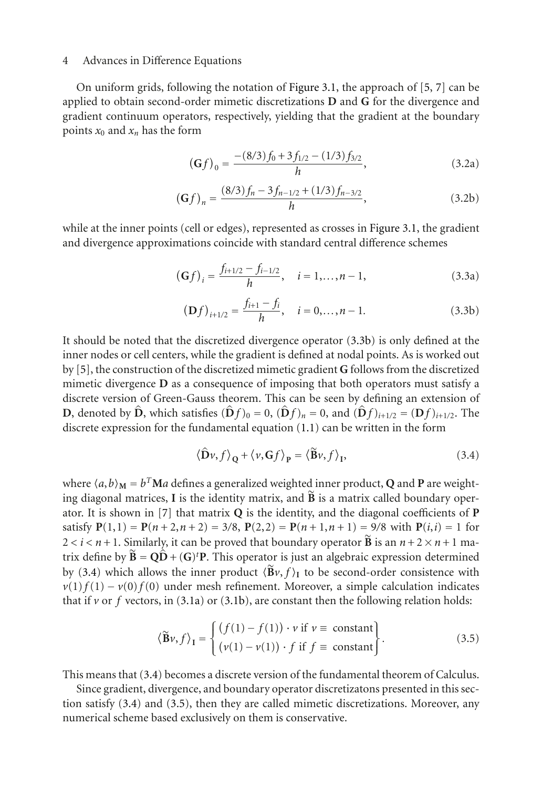On uniform grids, following the notation of [Figure 3.1,](#page-2-3) the approach of [\[5](#page-10-5), [7](#page-10-6)] can be applied to obtain second-order mimetic discretizations **D** and **G** for the divergence and gradient continuum operators, respectively, yielding that the gradient at the boundary points  $x_0$  and  $x_n$  has the form

$$
(Gf)_0 = \frac{-(8/3)f_0 + 3f_{1/2} - (1/3)f_{3/2}}{h},
$$
\n(3.2a)

$$
\left(\mathbf{G}f\right)_n = \frac{(8/3)f_n - 3f_{n-1/2} + (1/3)f_{n-3/2}}{h},\tag{3.2b}
$$

while at the inner points (cell or edges), represented as crosses in [Figure 3.1,](#page-2-3) the gradient and divergence approximations coincide with standard central difference schemes

$$
\left(\mathbf{G}f\right)_i = \frac{f_{i+1/2} - f_{i-1/2}}{h}, \quad i = 1, \dots, n-1,\tag{3.3a}
$$

<span id="page-3-0"></span>
$$
(\mathbf{D}f)_{i+1/2} = \frac{f_{i+1} - f_i}{h}, \quad i = 0, \dots, n-1.
$$
 (3.3b)

It should be noted that the discretized divergence operator [\(3.3b\)](#page-3-0) is only defined at the inner nodes or cell centers, while the gradient is defined at nodal points. As is worked out by [\[5](#page-10-5)], the construction of the discretized mimetic gradient **G** follows from the discretized mimetic divergence **D** as a consequence of imposing that both operators must satisfy a discrete version of Green-Gauss theorem. This can be seen by defining an extension of **D**, denoted by  $\hat{\mathbf{D}}$ , which satisfies  $(\hat{\mathbf{D}}f)_{0} = 0$ ,  $(\hat{\mathbf{D}}f)_{n} = 0$ , and  $(\hat{\mathbf{D}}f)_{i+1/2} = (\mathbf{D}f)_{i+1/2}$ . The discrete expression for the fundamental equation [\(1.1\)](#page-1-1) can be written in the form

<span id="page-3-1"></span>
$$
\langle \hat{\mathbf{D}}\nu, f \rangle_{\mathbf{Q}} + \langle \nu, \mathbf{G} f \rangle_{\mathbf{P}} = \langle \widetilde{\mathbf{B}}\nu, f \rangle_{\mathbf{P}},
$$
\n(3.4)

where  $\langle a, b \rangle_M = b^T M a$  defines a generalized weighted inner product, **Q** and **P** are weighting diagonal matrices, **<sup>I</sup>** is the identity matrix, and **<sup>B</sup>** is a matrix called boundary operator. It is shown in [\[7\]](#page-10-6) that matrix **Q** is the identity, and the diagonal coefficients of **P** satisfy  $P(1,1) = P(n+2,n+2) = 3/8$ ,  $P(2,2) = P(n+1,n+1) = 9/8$  with  $P(i,i) = 1$  for  $2 < i < n+1$ . Similarly, it can be proved that boundary operator  $\widetilde{B}$  is an  $n+2 \times n+1$  matrix define by  $\widetilde{\mathbf{B}} = \mathbf{Q}\widehat{\mathbf{D}} + (\mathbf{G})^t \mathbf{P}$ . This operator is just an algebraic expression determined by [\(3.4\)](#page-3-1) which allows the inner product  $\langle \tilde{B}v, f \rangle_I$  to be second-order consistence with  $v(1) f(1) - v(0) f(0)$  under mesh refinement. Moreover, a simple calculation indicates that if  $\nu$  or  $f$  vectors, in [\(3.1a\)](#page-2-4) or [\(3.1b\)](#page-2-5), are constant then the following relation holds:

<span id="page-3-2"></span>
$$
\langle \widetilde{\mathbf{B}}\nu, f \rangle_{\mathbf{I}} = \begin{cases} (f(1) - f(1)) \cdot \nu \text{ if } \nu \equiv \text{ constant} \\ (\nu(1) - \nu(1)) \cdot f \text{ if } f \equiv \text{ constant} \end{cases}
$$
 (3.5)

This means that [\(3.4\)](#page-3-1) becomes a discrete version of the fundamental theorem of Calculus.

Since gradient, divergence, and boundary operator discretizatons presented in this section satisfy [\(3.4\)](#page-3-1) and [\(3.5\)](#page-3-2), then they are called mimetic discretizations. Moreover, any numerical scheme based exclusively on them is conservative.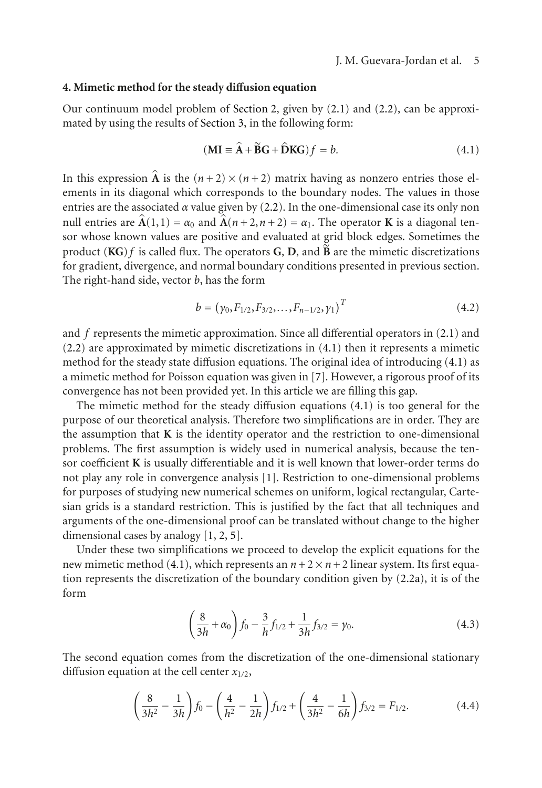### <span id="page-4-0"></span>**4. Mimetic method for the steady diffusion equation**

Our continuum model problem of [Section 2,](#page-1-0) given by [\(2.1\)](#page-2-1) and [\(2.2\)](#page-2-2), can be approximated by using the results of [Section 3,](#page-2-0) in the following form:

<span id="page-4-1"></span>
$$
(\mathbf{M}\mathbf{I} \equiv \hat{\mathbf{A}} + \tilde{\mathbf{B}}\mathbf{G} + \hat{\mathbf{D}}\mathbf{K}\mathbf{G})f = b.
$$
 (4.1)

In this expression  $\hat{A}$  is the  $(n+2) \times (n+2)$  matrix having as nonzero entries those elements in its diagonal which corresponds to the boundary nodes. The values in those entries are the associated  $\alpha$  value given by [\(2.2\)](#page-2-2). In the one-dimensional case its only non null entries are  $\hat{A}(1,1) = \alpha_0$  and  $\hat{A}(n+2,n+2) = \alpha_1$ . The operator **K** is a diagonal tensor whose known values are positive and evaluated at grid block edges. Sometimes the product (**KG**) f is called flux. The operators **G**, **D**, and  $\widetilde{B}$  are the mimetic discretizations for gradient, divergence, and normal boundary conditions presented in previous section. The right-hand side, vector *b*, has the form

$$
b = (\gamma_0, F_{1/2}, F_{3/2}, \dots, F_{n-1/2}, \gamma_1)^T
$$
\n(4.2)

and *f* represents the mimetic approximation. Since all differential operators in [\(2.1\)](#page-2-1) and [\(2.2\)](#page-2-2) are approximated by mimetic discretizations in [\(4.1\)](#page-4-1) then it represents a mimetic method for the steady state diffusion equations. The original idea of introducing [\(4.1\)](#page-4-1) as a mimetic method for Poisson equation was given in [\[7](#page-10-6)]. However, a rigorous proof of its convergence has not been provided yet. In this article we are filling this gap.

The mimetic method for the steady diffusion equations [\(4.1\)](#page-4-1) is too general for the purpose of our theoretical analysis. Therefore two simplifications are in order. They are the assumption that **K** is the identity operator and the restriction to one-dimensional problems. The first assumption is widely used in numerical analysis, because the tensor coefficient **K** is usually differentiable and it is well known that lower-order terms do not play any role in convergence analysis [\[1\]](#page-10-1). Restriction to one-dimensional problems for purposes of studying new numerical schemes on uniform, logical rectangular, Cartesian grids is a standard restriction. This is justified by the fact that all techniques and arguments of the one-dimensional proof can be translated without change to the higher dimensional cases by analogy [\[1](#page-10-1), [2](#page-10-2), [5\]](#page-10-5).

Under these two simplifications we proceed to develop the explicit equations for the new mimetic method [\(4.1\)](#page-4-1), which represents an  $n + 2 \times n + 2$  linear system. Its first equation represents the discretization of the boundary condition given by [\(2.2a\)](#page-2-6), it is of the form

<span id="page-4-3"></span><span id="page-4-2"></span>
$$
\left(\frac{8}{3h} + \alpha_0\right) f_0 - \frac{3}{h} f_{1/2} + \frac{1}{3h} f_{3/2} = \gamma_0. \tag{4.3}
$$

The second equation comes from the discretization of the one-dimensional stationary diffusion equation at the cell center  $x_{1/2}$ ,

$$
\left(\frac{8}{3h^2} - \frac{1}{3h}\right) f_0 - \left(\frac{4}{h^2} - \frac{1}{2h}\right) f_{1/2} + \left(\frac{4}{3h^2} - \frac{1}{6h}\right) f_{3/2} = F_{1/2}.
$$
 (4.4)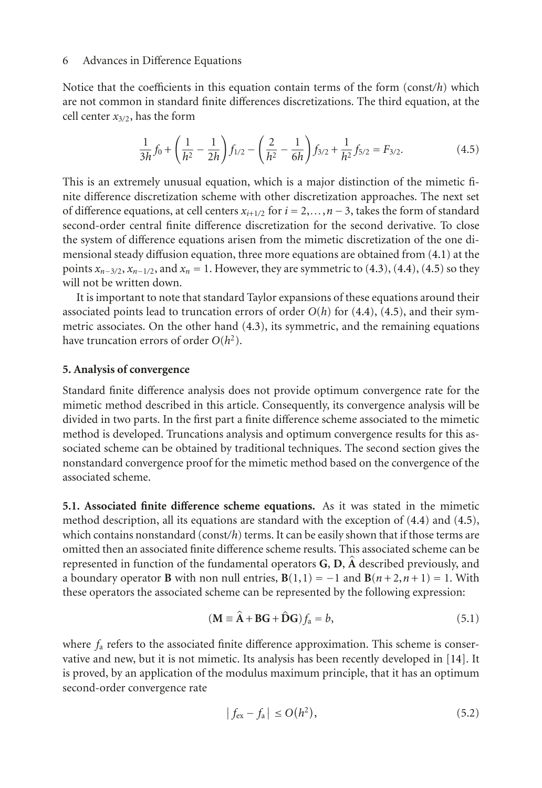Notice that the coefficients in this equation contain terms of the form (const*/h*) which are not common in standard finite differences discretizations. The third equation, at the cell center  $x_{3/2}$ , has the form

<span id="page-5-1"></span>
$$
\frac{1}{3h}f_0 + \left(\frac{1}{h^2} - \frac{1}{2h}\right)f_{1/2} - \left(\frac{2}{h^2} - \frac{1}{6h}\right)f_{3/2} + \frac{1}{h^2}f_{5/2} = F_{3/2}.
$$
 (4.5)

This is an extremely unusual equation, which is a major distinction of the mimetic finite difference discretization scheme with other discretization approaches. The next set of difference equations, at cell centers  $x_{i+1/2}$  for  $i = 2, \ldots, n-3$ , takes the form of standard second-order central finite difference discretization for the second derivative. To close the system of difference equations arisen from the mimetic discretization of the one dimensional steady diffusion equation, three more equations are obtained from [\(4.1\)](#page-4-1) at the points  $x_{n-3/2}$ ,  $x_{n-1/2}$ , and  $x_n = 1$ . However, they are symmetric to [\(4.3\)](#page-4-2), [\(4.4\)](#page-4-3), [\(4.5\)](#page-5-1) so they will not be written down.

It is important to note that standard Taylor expansions of these equations around their associated points lead to truncation errors of order *O*(*h*) for [\(4.4\)](#page-4-3), [\(4.5\)](#page-5-1), and their symmetric associates. On the other hand [\(4.3\)](#page-4-2), its symmetric, and the remaining equations have truncation errors of order  $O(h^2)$ .

#### <span id="page-5-0"></span>**5. Analysis of convergence**

Standard finite difference analysis does not provide optimum convergence rate for the mimetic method described in this article. Consequently, its convergence analysis will be divided in two parts. In the first part a finite difference scheme associated to the mimetic method is developed. Truncations analysis and optimum convergence results for this associated scheme can be obtained by traditional techniques. The second section gives the nonstandard convergence proof for the mimetic method based on the convergence of the associated scheme.

**5.1. Associated finite difference scheme equations.** As it was stated in the mimetic method description, all its equations are standard with the exception of [\(4.4\)](#page-4-3) and [\(4.5\)](#page-5-1), which contains nonstandard (const*/h*) terms. It can be easily shown that if those terms are omitted then an associated finite difference scheme results. This associated scheme can be represented in function of the fundamental operators **<sup>G</sup>**, **<sup>D</sup>**, **<sup>A</sup>** described previously, and a boundary operator **B** with non null entries,  $\mathbf{B}(1,1) = -1$  and  $\mathbf{B}(n+2,n+1) = 1$ . With these operators the associated scheme can be represented by the following expression:

<span id="page-5-2"></span>
$$
(\mathbf{M} \equiv \hat{\mathbf{A}} + \mathbf{B}\mathbf{G} + \hat{\mathbf{D}}\mathbf{G})f_a = b,\tag{5.1}
$$

where  $f_a$  refers to the associated finite difference approximation. This scheme is conservative and new, but it is not mimetic. Its analysis has been recently developed in [\[14\]](#page-11-2). It is proved, by an application of the modulus maximum principle, that it has an optimum second-order convergence rate

<span id="page-5-3"></span>
$$
|f_{\rm ex} - f_{\rm a}| \le O(h^2), \tag{5.2}
$$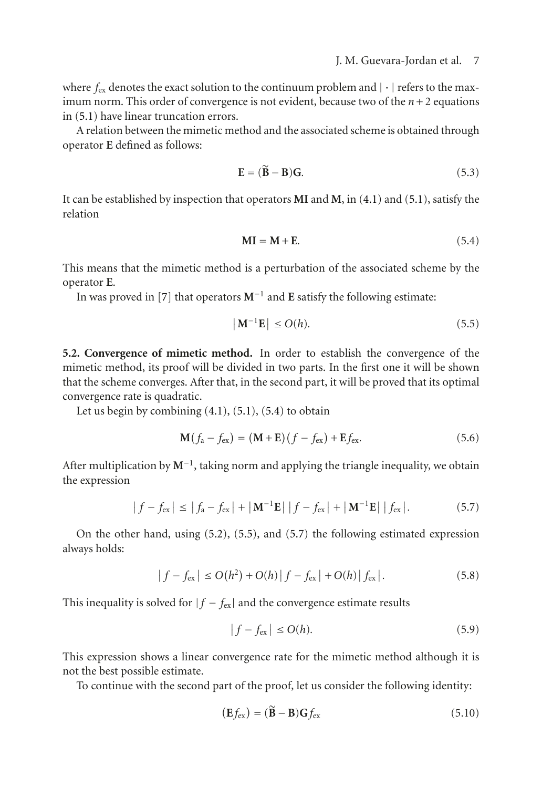where  $f_{\rm ex}$  denotes the exact solution to the continuum problem and  $|\cdot|$  refers to the maximum norm. This order of convergence is not evident, because two of the  $n + 2$  equations in [\(5.1\)](#page-5-2) have linear truncation errors.

A relation between the mimetic method and the associated scheme is obtained through operator **E** defined as follows:

$$
\mathbf{E} = (\widetilde{\mathbf{B}} - \mathbf{B})\mathbf{G}.
$$
 (5.3)

It can be established by inspection that operators **MI** and **M**, in [\(4.1\)](#page-4-1) and [\(5.1\)](#page-5-2), satisfy the relation

<span id="page-6-0"></span>
$$
MI = M + E. \tag{5.4}
$$

This means that the mimetic method is a perturbation of the associated scheme by the operator **E**.

In was proved in [\[7\]](#page-10-6) that operators **M**−<sup>1</sup> and **E** satisfy the following estimate:

<span id="page-6-4"></span><span id="page-6-1"></span>
$$
\left| \mathbf{M}^{-1} \mathbf{E} \right| \le O(h). \tag{5.5}
$$

**5.2. Convergence of mimetic method.** In order to establish the convergence of the mimetic method, its proof will be divided in two parts. In the first one it will be shown that the scheme converges. After that, in the second part, it will be proved that its optimal convergence rate is quadratic.

Let us begin by combining  $(4.1)$ ,  $(5.1)$ ,  $(5.4)$  to obtain

<span id="page-6-2"></span>
$$
\mathbf{M}(f_{\rm a} - f_{\rm ex}) = (\mathbf{M} + \mathbf{E})(f - f_{\rm ex}) + \mathbf{E}f_{\rm ex}.
$$
 (5.6)

After multiplication by  $M^{-1}$ , taking norm and applying the triangle inequality, we obtain the expression

$$
|f - f_{\rm ex}| \le |f_{\rm a} - f_{\rm ex}| + |\mathbf{M}^{-1} \mathbf{E}| |f - f_{\rm ex}| + |\mathbf{M}^{-1} \mathbf{E}| |f_{\rm ex}|.
$$
 (5.7)

On the other hand, using [\(5.2\)](#page-5-3), [\(5.5\)](#page-6-1), and [\(5.7\)](#page-6-2) the following estimated expression always holds:

$$
|f - f_{\rm ex}| \le O(h^2) + O(h) |f - f_{\rm ex}| + O(h) |f_{\rm ex}|.
$$
 (5.8)

This inequality is solved for  $|f - f_{ex}|$  and the convergence estimate results

<span id="page-6-5"></span>
$$
|f - f_{\text{ex}}| \le O(h). \tag{5.9}
$$

This expression shows a linear convergence rate for the mimetic method although it is not the best possible estimate.

To continue with the second part of the proof, let us consider the following identity:

<span id="page-6-3"></span>
$$
(\mathbf{E}f_{\rm ex}) = (\widetilde{\mathbf{B}} - \mathbf{B})\mathbf{G}f_{\rm ex}
$$
 (5.10)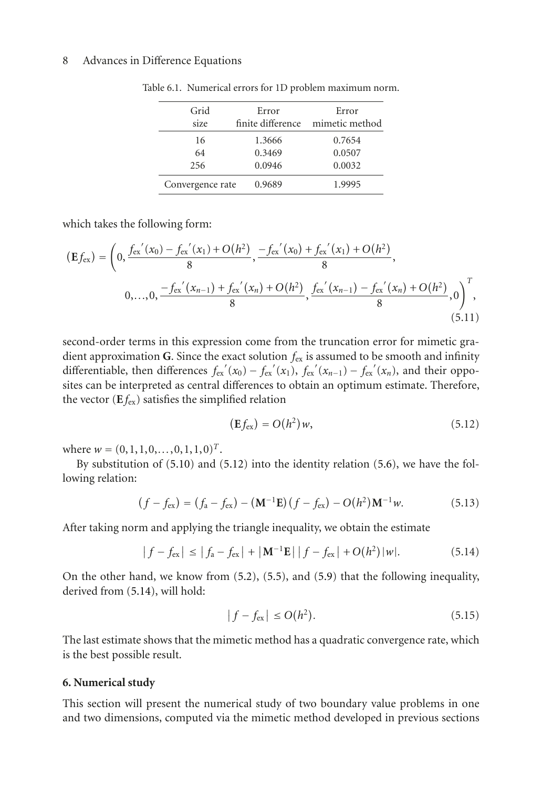| Grid<br>size     | Error  | Error<br>finite difference mimetic method |
|------------------|--------|-------------------------------------------|
| 16               | 1.3666 | 0.7654                                    |
| 64               | 0.3469 | 0.0507                                    |
| 256              | 0.0946 | 0.0032                                    |
| Convergence rate | 0.9689 | 1.9995                                    |

<span id="page-7-3"></span>Table 6.1. Numerical errors for 1D problem maximum norm.

which takes the following form:

$$
(\mathbf{E}f_{\rm ex}) = \left(0, \frac{f_{\rm ex}'(x_0) - f_{\rm ex}'(x_1) + O(h^2)}{8}, \frac{-f_{\rm ex}'(x_0) + f_{\rm ex}'(x_1) + O(h^2)}{8}, \frac{8}{10}, 0, \ldots, 0, \frac{-f_{\rm ex}'(x_{n-1}) + f_{\rm ex}'(x_n) + O(h^2)}{8}, \frac{f_{\rm ex}'(x_{n-1}) - f_{\rm ex}'(x_n) + O(h^2)}{8}, 0\right)^T, \tag{5.11}
$$

second-order terms in this expression come from the truncation error for mimetic gradient approximation **G**. Since the exact solution *f*ex is assumed to be smooth and infinity differentiable, then differences  $f_{\rm ex}'(x_0) - f_{\rm ex}'(x_1)$ ,  $f_{\rm ex}'(x_{n-1}) - f_{\rm ex}'(x_n)$ , and their opposites can be interpreted as central differences to obtain an optimum estimate. Therefore, the vector  $(E f_{ex})$  satisfies the simplified relation

<span id="page-7-1"></span>
$$
(\mathbf{E}f_{\text{ex}}) = O(h^2)w,\tag{5.12}
$$

where  $w = (0, 1, 1, 0, \ldots, 0, 1, 1, 0)^T$ .

By substitution of [\(5.10\)](#page-6-3) and [\(5.12\)](#page-7-1) into the identity relation [\(5.6\)](#page-6-4), we have the following relation:

$$
(f - f_{ex}) = (f_a - f_{ex}) - (\mathbf{M}^{-1} \mathbf{E}) (f - f_{ex}) - O(h^2) \mathbf{M}^{-1} w.
$$
 (5.13)

After taking norm and applying the triangle inequality, we obtain the estimate

$$
|f - f_{\rm ex}| \le |f_{\rm a} - f_{\rm ex}| + |\mathbf{M}^{-1} \mathbf{E}| |f - f_{\rm ex}| + O(h^2) |w|.
$$
 (5.14)

On the other hand, we know from [\(5.2\)](#page-5-3), [\(5.5\)](#page-6-1), and [\(5.9\)](#page-6-5) that the following inequality, derived from [\(5.14\)](#page-7-2), will hold:

<span id="page-7-2"></span>
$$
|f - f_{\text{ex}}| \le O(h^2). \tag{5.15}
$$

The last estimate shows that the mimetic method has a quadratic convergence rate, which is the best possible result.

# <span id="page-7-0"></span>**6. Numerical study**

This section will present the numerical study of two boundary value problems in one and two dimensions, computed via the mimetic method developed in previous sections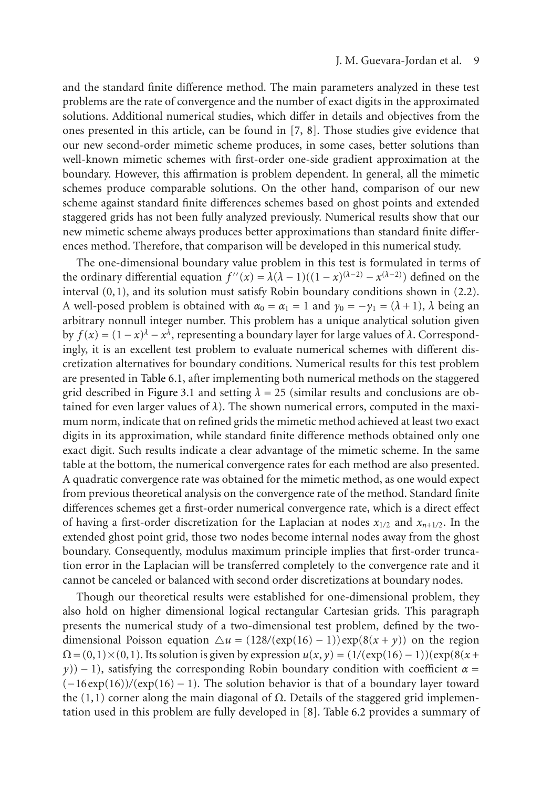and the standard finite difference method. The main parameters analyzed in these test problems are the rate of convergence and the number of exact digits in the approximated solutions. Additional numerical studies, which differ in details and objectives from the ones presented in this article, can be found in [\[7](#page-10-6), [8\]](#page-10-7). Those studies give evidence that our new second-order mimetic scheme produces, in some cases, better solutions than well-known mimetic schemes with first-order one-side gradient approximation at the boundary. However, this affirmation is problem dependent. In general, all the mimetic schemes produce comparable solutions. On the other hand, comparison of our new scheme against standard finite differences schemes based on ghost points and extended staggered grids has not been fully analyzed previously. Numerical results show that our new mimetic scheme always produces better approximations than standard finite differences method. Therefore, that comparison will be developed in this numerical study.

The one-dimensional boundary value problem in this test is formulated in terms of the ordinary differential equation  $f''(x) = \lambda(\lambda - 1)((1 - x)^{(\lambda - 2)} - x^{(\lambda - 2)})$  defined on the interval (0,1), and its solution must satisfy Robin boundary conditions shown in [\(2.2\)](#page-2-2). A well-posed problem is obtained with  $\alpha_0 = \alpha_1 = 1$  and  $\gamma_0 = -\gamma_1 = (\lambda + 1)$ ,  $\lambda$  being an arbitrary nonnull integer number. This problem has a unique analytical solution given by *<sup>f</sup>* (*x*) <sup>=</sup> (1 <sup>−</sup> *<sup>x</sup>*)*<sup>λ</sup>* <sup>−</sup> *xλ*, representing a boundary layer for large values of *<sup>λ</sup>*. Correspondingly, it is an excellent test problem to evaluate numerical schemes with different discretization alternatives for boundary conditions. Numerical results for this test problem are presented in [Table 6.1,](#page-7-3) after implementing both numerical methods on the staggered grid described in [Figure 3.1](#page-2-3) and setting  $\lambda = 25$  (similar results and conclusions are obtained for even larger values of  $\lambda$ ). The shown numerical errors, computed in the maximum norm, indicate that on refined grids the mimetic method achieved at least two exact digits in its approximation, while standard finite difference methods obtained only one exact digit. Such results indicate a clear advantage of the mimetic scheme. In the same table at the bottom, the numerical convergence rates for each method are also presented. A quadratic convergence rate was obtained for the mimetic method, as one would expect from previous theoretical analysis on the convergence rate of the method. Standard finite differences schemes get a first-order numerical convergence rate, which is a direct effect of having a first-order discretization for the Laplacian at nodes  $x_{1/2}$  and  $x_{n+1/2}$ . In the extended ghost point grid, those two nodes become internal nodes away from the ghost boundary. Consequently, modulus maximum principle implies that first-order truncation error in the Laplacian will be transferred completely to the convergence rate and it cannot be canceled or balanced with second order discretizations at boundary nodes.

Though our theoretical results were established for one-dimensional problem, they also hold on higher dimensional logical rectangular Cartesian grids. This paragraph presents the numerical study of a two-dimensional test problem, defined by the twodimensional Poisson equation  $\Delta u = (128/(\exp(16) - 1)) \exp(8(x + y))$  on the region  $\Omega = (0,1) \times (0,1)$ . Its solution is given by expression  $u(x, y) = (1/(\exp(16) - 1))(\exp(8(x +$ *y*)) − 1), satisfying the corresponding Robin boundary condition with coefficient  $\alpha$  = (−16exp(16))*/*(exp(16) <sup>−</sup> 1). The solution behavior is that of a boundary layer toward the (1,1) corner along the main diagonal of  $Ω$ . Details of the staggered grid implementation used in this problem are fully developed in [\[8](#page-10-7)]. [Table 6.2](#page-9-1) provides a summary of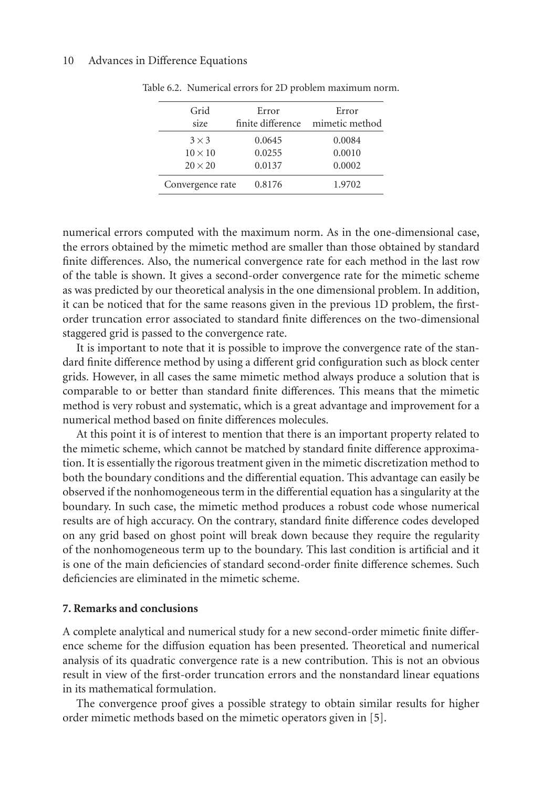| Grid             | Error             | Error          |
|------------------|-------------------|----------------|
| size             | finite difference | mimetic method |
| $3 \times 3$     | 0.0645            | 0.0084         |
| $10 \times 10$   | 0.0255            | 0.0010         |
| $20 \times 20$   | 0.0137            | 0.0002         |
| Convergence rate | 0.8176            | 1.9702         |

<span id="page-9-1"></span>Table 6.2. Numerical errors for 2D problem maximum norm.

numerical errors computed with the maximum norm. As in the one-dimensional case, the errors obtained by the mimetic method are smaller than those obtained by standard finite differences. Also, the numerical convergence rate for each method in the last row of the table is shown. It gives a second-order convergence rate for the mimetic scheme as was predicted by our theoretical analysis in the one dimensional problem. In addition, it can be noticed that for the same reasons given in the previous 1D problem, the firstorder truncation error associated to standard finite differences on the two-dimensional staggered grid is passed to the convergence rate.

It is important to note that it is possible to improve the convergence rate of the standard finite difference method by using a different grid configuration such as block center grids. However, in all cases the same mimetic method always produce a solution that is comparable to or better than standard finite differences. This means that the mimetic method is very robust and systematic, which is a great advantage and improvement for a numerical method based on finite differences molecules.

At this point it is of interest to mention that there is an important property related to the mimetic scheme, which cannot be matched by standard finite difference approximation. It is essentially the rigorous treatment given in the mimetic discretization method to both the boundary conditions and the differential equation. This advantage can easily be observed if the nonhomogeneous term in the differential equation has a singularity at the boundary. In such case, the mimetic method produces a robust code whose numerical results are of high accuracy. On the contrary, standard finite difference codes developed on any grid based on ghost point will break down because they require the regularity of the nonhomogeneous term up to the boundary. This last condition is artificial and it is one of the main deficiencies of standard second-order finite difference schemes. Such deficiencies are eliminated in the mimetic scheme.

## <span id="page-9-0"></span>**7. Remarks and conclusions**

A complete analytical and numerical study for a new second-order mimetic finite difference scheme for the diffusion equation has been presented. Theoretical and numerical analysis of its quadratic convergence rate is a new contribution. This is not an obvious result in view of the first-order truncation errors and the nonstandard linear equations in its mathematical formulation.

The convergence proof gives a possible strategy to obtain similar results for higher order mimetic methods based on the mimetic operators given in [\[5\]](#page-10-5).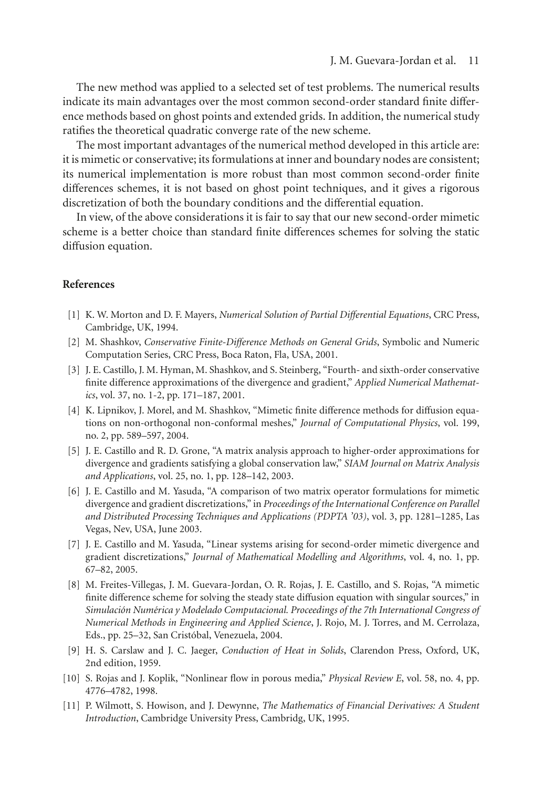The new method was applied to a selected set of test problems. The numerical results indicate its main advantages over the most common second-order standard finite difference methods based on ghost points and extended grids. In addition, the numerical study ratifies the theoretical quadratic converge rate of the new scheme.

The most important advantages of the numerical method developed in this article are: it is mimetic or conservative; its formulations at inner and boundary nodes are consistent; its numerical implementation is more robust than most common second-order finite differences schemes, it is not based on ghost point techniques, and it gives a rigorous discretization of both the boundary conditions and the differential equation.

In view, of the above considerations it is fair to say that our new second-order mimetic scheme is a better choice than standard finite differences schemes for solving the static diffusion equation.

# <span id="page-10-0"></span>**References**

- <span id="page-10-1"></span>[1] K. W. Morton and D. F. Mayers, *Numerical Solution of Partial Differential Equations*, CRC Press, Cambridge, UK, 1994.
- <span id="page-10-2"></span>[2] M. Shashkov, *Conservative Finite-Difference Methods on General Grids*, Symbolic and Numeric Computation Series, CRC Press, Boca Raton, Fla, USA, 2001.
- <span id="page-10-3"></span>[3] J. E. Castillo, J. M. Hyman, M. Shashkov, and S. Steinberg, "Fourth- and sixth-order conservative finite difference approximations of the divergence and gradient," *Applied Numerical Mathematics*, vol. 37, no. 1-2, pp. 171–187, 2001.
- <span id="page-10-4"></span>[4] K. Lipnikov, J. Morel, and M. Shashkov, "Mimetic finite difference methods for diffusion equations on non-orthogonal non-conformal meshes," *Journal of Computational Physics*, vol. 199, no. 2, pp. 589–597, 2004.
- <span id="page-10-5"></span>[5] J. E. Castillo and R. D. Grone, "A matrix analysis approach to higher-order approximations for divergence and gradients satisfying a global conservation law," *SIAM Journal on Matrix Analysis and Applications*, vol. 25, no. 1, pp. 128–142, 2003.
- [6] J. E. Castillo and M. Yasuda, "A comparison of two matrix operator formulations for mimetic divergence and gradient discretizations," in *Proceedings of the International Conference on Parallel and Distributed Processing Techniques and Applications (PDPTA '03)*, vol. 3, pp. 1281–1285, Las Vegas, Nev, USA, June 2003.
- <span id="page-10-6"></span>[7] J. E. Castillo and M. Yasuda, "Linear systems arising for second-order mimetic divergence and gradient discretizations," *Journal of Mathematical Modelling and Algorithms*, vol. 4, no. 1, pp. 67–82, 2005.
- <span id="page-10-7"></span>[8] M. Freites-Villegas, J. M. Guevara-Jordan, O. R. Rojas, J. E. Castillo, and S. Rojas, "A mimetic finite difference scheme for solving the steady state diffusion equation with singular sources," in *Simulacion Num ´ ´erica y Modelado Computacional. Proceedings of the 7th International Congress of Numerical Methods in Engineering and Applied Science*, J. Rojo, M. J. Torres, and M. Cerrolaza, Eds., pp. 25–32, San Cristóbal, Venezuela, 2004.
- <span id="page-10-8"></span>[9] H. S. Carslaw and J. C. Jaeger, *Conduction of Heat in Solids*, Clarendon Press, Oxford, UK, 2nd edition, 1959.
- [10] S. Rojas and J. Koplik, "Nonlinear flow in porous media," *Physical Review E*, vol. 58, no. 4, pp. 4776–4782, 1998.
- <span id="page-10-9"></span>[11] P. Wilmott, S. Howison, and J. Dewynne, *The Mathematics of Financial Derivatives: A Student Introduction*, Cambridge University Press, Cambridg, UK, 1995.